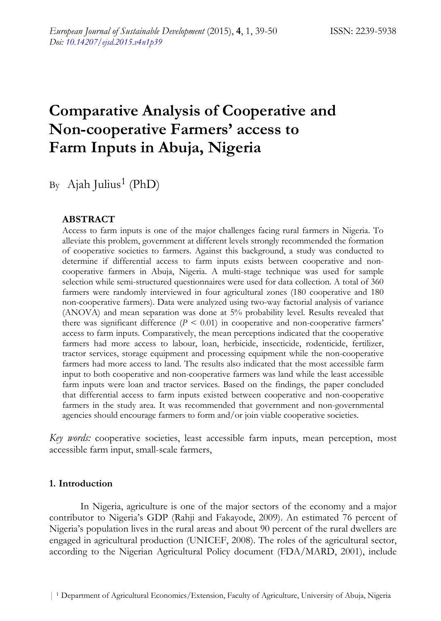# **Comparative Analysis of Cooperative and Non-cooperative Farmers' access to Farm Inputs in Abuja, Nigeria**

By Ajah Julius<sup>1</sup> (PhD)

# **ABSTRACT**

Access to farm inputs is one of the major challenges facing rural farmers in Nigeria. To alleviate this problem, government at different levels strongly recommended the formation of cooperative societies to farmers. Against this background, a study was conducted to determine if differential access to farm inputs exists between cooperative and noncooperative farmers in Abuja, Nigeria. A multi-stage technique was used for sample selection while semi-structured questionnaires were used for data collection. A total of 360 farmers were randomly interviewed in four agricultural zones (180 cooperative and 180 non-cooperative farmers). Data were analyzed using two-way factorial analysis of variance (ANOVA) and mean separation was done at 5% probability level. Results revealed that there was significant difference  $(P \leq 0.01)$  in cooperative and non-cooperative farmers' access to farm inputs. Comparatively, the mean perceptions indicated that the cooperative farmers had more access to labour, loan, herbicide, insecticide, rodenticide, fertilizer, tractor services, storage equipment and processing equipment while the non-cooperative farmers had more access to land. The results also indicated that the most accessible farm input to both cooperative and non-cooperative farmers was land while the least accessible farm inputs were loan and tractor services. Based on the findings, the paper concluded that differential access to farm inputs existed between cooperative and non-cooperative farmers in the study area. It was recommended that government and non-governmental agencies should encourage farmers to form and/or join viable cooperative societies.

*Key words:* cooperative societies, least accessible farm inputs, mean perception, most accessible farm input, small-scale farmers,

## **1. Introduction**

In Nigeria, agriculture is one of the major sectors of the economy and a major contributor to Nigeria's GDP (Rahji and Fakayode, 2009). An estimated 76 percent of Nigeria's population lives in the rural areas and about 90 percent of the rural dwellers are engaged in agricultural production (UNICEF, 2008). The roles of the agricultural sector, according to the Nigerian Agricultural Policy document (FDA/MARD, 2001), include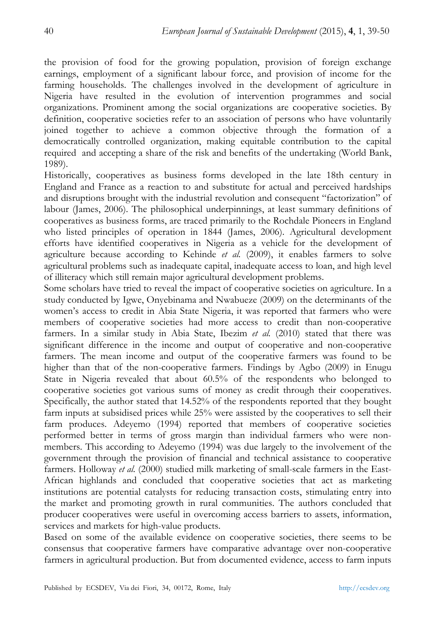the provision of food for the growing population, provision of foreign exchange earnings, employment of a significant labour force, and provision of income for the farming households. The challenges involved in the development of agriculture in Nigeria have resulted in the evolution of intervention programmes and social organizations. Prominent among the social organizations are cooperative societies. By definition, cooperative societies refer to an association of persons who have voluntarily joined together to achieve a common objective through the formation of a democratically controlled organization, making equitable contribution to the capital required and accepting a share of the risk and benefits of the undertaking (World Bank, 1989).

Historically, cooperatives as business forms developed in the late 18th century in England and France as a reaction to and substitute for actual and perceived hardships and disruptions brought with the industrial revolution and consequent "factorization" of labour (James, 2006). The philosophical underpinnings, at least summary definitions of cooperatives as business forms, are traced primarily to the Rochdale Pioneers in England who listed principles of operation in 1844 (James, 2006). Agricultural development efforts have identified cooperatives in Nigeria as a vehicle for the development of agriculture because according to Kehinde *et al.* (2009), it enables farmers to solve agricultural problems such as inadequate capital, inadequate access to loan, and high level of illiteracy which still remain major agricultural development problems.

Some scholars have tried to reveal the impact of cooperative societies on agriculture. In a study conducted by Igwe, Onyebinama and Nwabueze (2009) on the determinants of the women's access to credit in Abia State Nigeria, it was reported that farmers who were members of cooperative societies had more access to credit than non-cooperative farmers. In a similar study in Abia State, Ibezim *et al.* (2010) stated that there was significant difference in the income and output of cooperative and non-cooperative farmers. The mean income and output of the cooperative farmers was found to be higher than that of the non-cooperative farmers. Findings by Agbo (2009) in Enugu State in Nigeria revealed that about 60.5% of the respondents who belonged to cooperative societies got various sums of money as credit through their cooperatives. Specifically, the author stated that 14.52% of the respondents reported that they bought farm inputs at subsidised prices while 25% were assisted by the cooperatives to sell their farm produces. Adeyemo (1994) reported that members of cooperative societies performed better in terms of gross margin than individual farmers who were nonmembers. This according to Adeyemo (1994) was due largely to the involvement of the government through the provision of financial and technical assistance to cooperative farmers. Holloway *et al.* (2000) studied milk marketing of small-scale farmers in the East-African highlands and concluded that cooperative societies that act as marketing institutions are potential catalysts for reducing transaction costs, stimulating entry into the market and promoting growth in rural communities. The authors concluded that producer cooperatives were useful in overcoming access barriers to assets, information, services and markets for high-value products.

Based on some of the available evidence on cooperative societies, there seems to be consensus that cooperative farmers have comparative advantage over non-cooperative farmers in agricultural production. But from documented evidence, access to farm inputs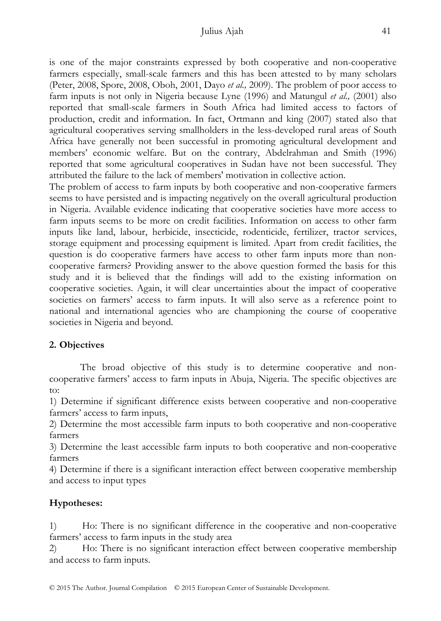### Julius Ajah 41

is one of the major constraints expressed by both cooperative and non-cooperative farmers especially, small-scale farmers and this has been attested to by many scholars (Peter, 2008, Spore, 2008, Oboh, 2001, Dayo *et al.,* 2009). The problem of poor access to farm inputs is not only in Nigeria because Lyne (1996) and Matungul *et al.,* (2001) also reported that small-scale farmers in South Africa had limited access to factors of production, credit and information. In fact, Ortmann and king (2007) stated also that agricultural cooperatives serving smallholders in the less-developed rural areas of South Africa have generally not been successful in promoting agricultural development and members' economic welfare. But on the contrary, Abdelrahman and Smith (1996) reported that some agricultural cooperatives in Sudan have not been successful. They attributed the failure to the lack of members' motivation in collective action.

The problem of access to farm inputs by both cooperative and non-cooperative farmers seems to have persisted and is impacting negatively on the overall agricultural production in Nigeria. Available evidence indicating that cooperative societies have more access to farm inputs seems to be more on credit facilities. Information on access to other farm inputs like land, labour, herbicide, insecticide, rodenticide, fertilizer, tractor services, storage equipment and processing equipment is limited. Apart from credit facilities, the question is do cooperative farmers have access to other farm inputs more than noncooperative farmers? Providing answer to the above question formed the basis for this study and it is believed that the findings will add to the existing information on cooperative societies. Again, it will clear uncertainties about the impact of cooperative societies on farmers' access to farm inputs. It will also serve as a reference point to national and international agencies who are championing the course of cooperative societies in Nigeria and beyond.

## **2. Objectives**

The broad objective of this study is to determine cooperative and noncooperative farmers' access to farm inputs in Abuja, Nigeria. The specific objectives are to:

1) Determine if significant difference exists between cooperative and non-cooperative farmers' access to farm inputs,

2) Determine the most accessible farm inputs to both cooperative and non-cooperative farmers

3) Determine the least accessible farm inputs to both cooperative and non-cooperative farmers

4) Determine if there is a significant interaction effect between cooperative membership and access to input types

# **Hypotheses:**

1) Ho: There is no significant difference in the cooperative and non-cooperative farmers' access to farm inputs in the study area

2) Ho: There is no significant interaction effect between cooperative membership and access to farm inputs.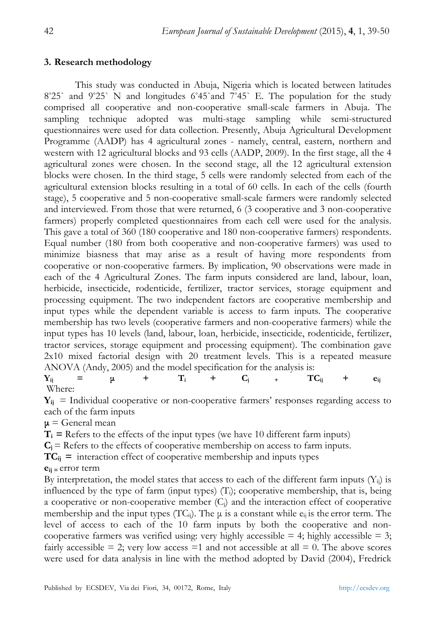### **3. Research methodology**

This study was conducted in Abuja, Nigeria which is located between latitudes  $8°25$ ` and  $9°25$ ` N and longitudes  $6°45$ `and  $7°45$ ` E. The population for the study comprised all cooperative and non-cooperative small-scale farmers in Abuja. The sampling technique adopted was multi-stage sampling while semi-structured questionnaires were used for data collection. Presently, Abuja Agricultural Development Programme (AADP) has 4 agricultural zones - namely, central, eastern, northern and western with 12 agricultural blocks and 93 cells (AADP, 2009). In the first stage, all the 4 agricultural zones were chosen. In the second stage, all the 12 agricultural extension blocks were chosen. In the third stage, 5 cells were randomly selected from each of the agricultural extension blocks resulting in a total of 60 cells. In each of the cells (fourth stage), 5 cooperative and 5 non-cooperative small-scale farmers were randomly selected and interviewed. From those that were returned, 6 (3 cooperative and 3 non-cooperative farmers) properly completed questionnaires from each cell were used for the analysis. This gave a total of 360 (180 cooperative and 180 non-cooperative farmers) respondents. Equal number (180 from both cooperative and non-cooperative farmers) was used to minimize biasness that may arise as a result of having more respondents from cooperative or non-cooperative farmers. By implication, 90 observations were made in each of the 4 Agricultural Zones. The farm inputs considered are land, labour, loan, herbicide, insecticide, rodenticide, fertilizer, tractor services, storage equipment and processing equipment. The two independent factors are cooperative membership and input types while the dependent variable is access to farm inputs. The cooperative membership has two levels (cooperative farmers and non-cooperative farmers) while the input types has 10 levels (land, labour, loan, herbicide, insecticide, rodenticide, fertilizer, tractor services, storage equipment and processing equipment). The combination gave 2x10 mixed factorial design with 20 treatment levels. This is a repeated measure ANOVA (Andy, 2005) and the model specification for the analysis is:  $\mathbf{Y}_{ij}$  =  $\mu$  +  $\mathbf{T}_i$  +  $\mathbf{C}_j$  +  $\mathbf{TC}_{ij}$  +  $\mathbf{e}_{ij}$ Where:

 $Y_{ii}$  = Individual cooperative or non-cooperative farmers' responses regarding access to each of the farm inputs

 $\mu$  = General mean

 $T_i$  = Refers to the effects of the input types (we have 10 different farm inputs)

 $C_i$  = Refers to the effects of cooperative membership on access to farm inputs.

 $TC_{ij}$  = interaction effect of cooperative membership and inputs types

**eij =** error term

By interpretation, the model states that access to each of the different farm inputs  $(Y_{ii})$  is influenced by the type of farm (input types)  $(T<sub>i</sub>)$ ; cooperative membership, that is, being a cooperative or non-cooperative member  $(C_i)$  and the interaction effect of cooperative membership and the input types  $(TC_{ij})$ . The  $\mu$  is a constant while  $e_{ij}$  is the error term. The level of access to each of the 10 farm inputs by both the cooperative and noncooperative farmers was verified using: very highly accessible  $=$  4; highly accessible  $=$  3; fairly accessible  $= 2$ ; very low access  $= 1$  and not accessible at all  $= 0$ . The above scores were used for data analysis in line with the method adopted by David (2004), Fredrick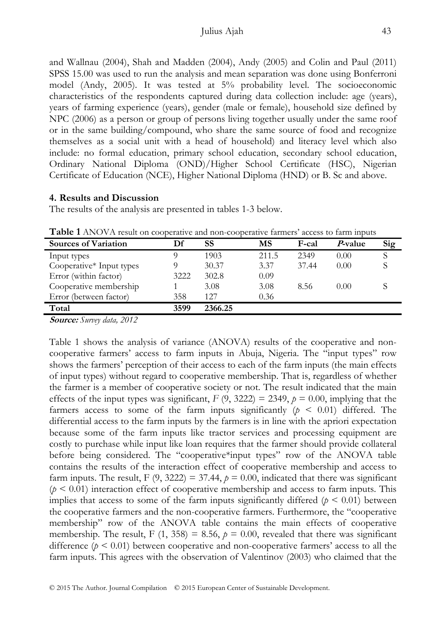#### Julius Ajah 43

and Wallnau (2004), Shah and Madden (2004), Andy (2005) and Colin and Paul (2011) SPSS 15.00 was used to run the analysis and mean separation was done using Bonferroni model (Andy, 2005). It was tested at 5% probability level. The socioeconomic characteristics of the respondents captured during data collection include: age (years), years of farming experience (years), gender (male or female), household size defined by NPC (2006) as a person or group of persons living together usually under the same roof or in the same building/compound, who share the same source of food and recognize themselves as a social unit with a head of household) and literacy level which also include: no formal education, primary school education, secondary school education, Ordinary National Diploma (OND)/Higher School Certificate (HSC), Nigerian Certificate of Education (NCE), Higher National Diploma (HND) or B. Sc and above.

#### **4. Results and Discussion**

The results of the analysis are presented in tables 1-3 below.

| <b>Sources of Variation</b> | Df   | <b>SS</b> | MS    | F-cal | <i>P</i> -value | Sig |
|-----------------------------|------|-----------|-------|-------|-----------------|-----|
| Input types                 |      | 1903      | 211.5 | 2349  | 0.00            |     |
| Cooperative* Input types    |      | 30.37     | 3.37  | 37.44 | 0.00            |     |
| Error (within factor)       | 3222 | 302.8     | 0.09  |       |                 |     |
| Cooperative membership      |      | 3.08      | 3.08  | 8.56  | 0.00            |     |
| Error (between factor)      | 358  | 12.7      | 0.36  |       |                 |     |
| Total                       | 3599 | 2366.25   |       |       |                 |     |

**Table 1** ANOVA result on cooperative and non-cooperative farmers' access to farm inputs

**Source:** *Survey data, 2012* 

Table 1 shows the analysis of variance (ANOVA) results of the cooperative and noncooperative farmers' access to farm inputs in Abuja, Nigeria. The "input types" row shows the farmers' perception of their access to each of the farm inputs (the main effects of input types) without regard to cooperative membership. That is, regardless of whether the farmer is a member of cooperative society or not. The result indicated that the main effects of the input types was significant,  $F(9, 3222) = 2349$ ,  $p = 0.00$ , implying that the farmers access to some of the farm inputs significantly  $(p \le 0.01)$  differed. The differential access to the farm inputs by the farmers is in line with the apriori expectation because some of the farm inputs like tractor services and processing equipment are costly to purchase while input like loan requires that the farmer should provide collateral before being considered. The "cooperative\*input types" row of the ANOVA table contains the results of the interaction effect of cooperative membership and access to farm inputs. The result, F  $(9, 3222) = 37.44$ ,  $p = 0.00$ , indicated that there was significant  $(p < 0.01)$  interaction effect of cooperative membership and access to farm inputs. This implies that access to some of the farm inputs significantly differed  $(p \le 0.01)$  between the cooperative farmers and the non-cooperative farmers. Furthermore, the "cooperative membership" row of the ANOVA table contains the main effects of cooperative membership. The result, F  $(1, 358) = 8.56$ ,  $p = 0.00$ , revealed that there was significant difference  $(p < 0.01)$  between cooperative and non-cooperative farmers' access to all the farm inputs. This agrees with the observation of Valentinov (2003) who claimed that the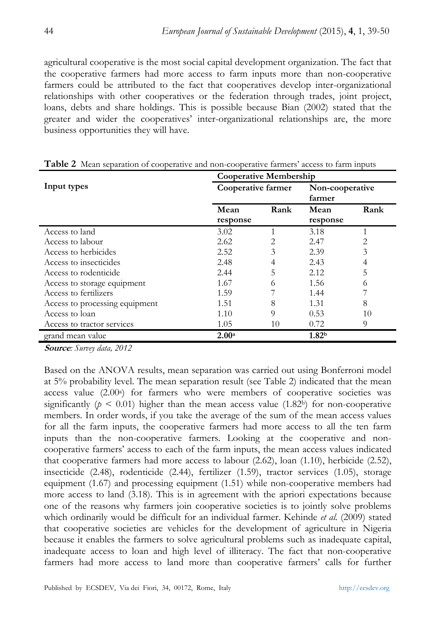agricultural cooperative is the most social capital development organization. The fact that the cooperative farmers had more access to farm inputs more than non-cooperative farmers could be attributed to the fact that cooperatives develop inter-organizational relationships with other cooperatives or the federation through trades, joint project, loans, debts and share holdings. This is possible because Bian (2002) stated that the greater and wider the cooperatives' inter-organizational relationships are, the more business opportunities they will have.

|                                | <b>Cooperative Membership</b> |                |                           |      |  |
|--------------------------------|-------------------------------|----------------|---------------------------|------|--|
| Input types                    | Cooperative farmer            |                | Non-cooperative<br>farmer |      |  |
|                                | Mean                          | Rank           | Mean                      | Rank |  |
|                                | response                      |                | response                  |      |  |
| Access to land                 | 3.02                          | 1              | 3.18                      |      |  |
| Access to labour               | 2.62                          | 2              | 2.47                      | 2    |  |
| Access to herbicides           | 2.52                          | 3              | 2.39                      | 3    |  |
| Access to insecticides         | 2.48                          | $\overline{4}$ | 2.43                      | 4    |  |
| Access to rodenticide          | 2.44                          | 5              | 2.12                      | 5    |  |
| Access to storage equipment    | 1.67                          | 6              | 1.56                      | 6    |  |
| Access to fertilizers          | 1.59                          |                | 1.44                      |      |  |
| Access to processing equipment | 1.51                          | 8              | 1.31                      | 8    |  |
| Access to loan                 | 1.10                          | $\Omega$       | 0.53                      | 10   |  |
| Access to tractor services     | 1.05                          | 10             | 0.72                      | 9    |  |
| grand mean value               | 2.00 <sup>a</sup>             |                | 1.82 <sup>b</sup>         |      |  |

|  | Table 2 Mean separation of cooperative and non-cooperative farmers' access to farm inputs |
|--|-------------------------------------------------------------------------------------------|
|--|-------------------------------------------------------------------------------------------|

**Source***: Survey data, 2012* 

Based on the ANOVA results, mean separation was carried out using Bonferroni model at 5% probability level. The mean separation result (see Table 2) indicated that the mean access value (2.00<sup>a</sup>) for farmers who were members of cooperative societies was significantly ( $p < 0.01$ ) higher than the mean access value (1.82b) for non-cooperative members. In order words, if you take the average of the sum of the mean access values for all the farm inputs, the cooperative farmers had more access to all the ten farm inputs than the non-cooperative farmers. Looking at the cooperative and noncooperative farmers' access to each of the farm inputs, the mean access values indicated that cooperative farmers had more access to labour (2.62), loan (1.10), herbicide (2.52), insecticide (2.48), rodenticide (2.44), fertilizer (1.59), tractor services (1.05), storage equipment (1.67) and processing equipment (1.51) while non-cooperative members had more access to land (3.18). This is in agreement with the apriori expectations because one of the reasons why farmers join cooperative societies is to jointly solve problems which ordinarily would be difficult for an individual farmer. Kehinde *et al.* (2009) stated that cooperative societies are vehicles for the development of agriculture in Nigeria because it enables the farmers to solve agricultural problems such as inadequate capital, inadequate access to loan and high level of illiteracy. The fact that non-cooperative farmers had more access to land more than cooperative farmers' calls for further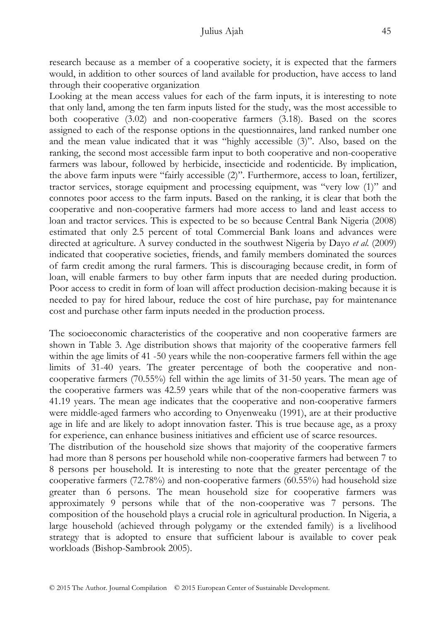research because as a member of a cooperative society, it is expected that the farmers would, in addition to other sources of land available for production, have access to land through their cooperative organization

Looking at the mean access values for each of the farm inputs, it is interesting to note that only land, among the ten farm inputs listed for the study, was the most accessible to both cooperative (3.02) and non-cooperative farmers (3.18). Based on the scores assigned to each of the response options in the questionnaires, land ranked number one and the mean value indicated that it was "highly accessible (3)". Also, based on the ranking, the second most accessible farm input to both cooperative and non-cooperative farmers was labour, followed by herbicide, insecticide and rodenticide. By implication, the above farm inputs were "fairly accessible (2)". Furthermore, access to loan, fertilizer, tractor services, storage equipment and processing equipment, was "very low (1)" and connotes poor access to the farm inputs. Based on the ranking, it is clear that both the cooperative and non-cooperative farmers had more access to land and least access to loan and tractor services. This is expected to be so because Central Bank Nigeria (2008) estimated that only 2.5 percent of total Commercial Bank loans and advances were directed at agriculture. A survey conducted in the southwest Nigeria by Dayo *et al.* (2009) indicated that cooperative societies, friends, and family members dominated the sources of farm credit among the rural farmers. This is discouraging because credit, in form of loan, will enable farmers to buy other farm inputs that are needed during production. Poor access to credit in form of loan will affect production decision-making because it is needed to pay for hired labour, reduce the cost of hire purchase, pay for maintenance cost and purchase other farm inputs needed in the production process.

The socioeconomic characteristics of the cooperative and non cooperative farmers are shown in Table 3. Age distribution shows that majority of the cooperative farmers fell within the age limits of 41 -50 years while the non-cooperative farmers fell within the age limits of 31-40 years. The greater percentage of both the cooperative and noncooperative farmers (70.55%) fell within the age limits of 31-50 years. The mean age of the cooperative farmers was 42.59 years while that of the non-cooperative farmers was 41.19 years. The mean age indicates that the cooperative and non-cooperative farmers were middle-aged farmers who according to Onyenweaku (1991), are at their productive age in life and are likely to adopt innovation faster. This is true because age, as a proxy for experience, can enhance business initiatives and efficient use of scarce resources.

The distribution of the household size shows that majority of the cooperative farmers had more than 8 persons per household while non-cooperative farmers had between 7 to 8 persons per household. It is interesting to note that the greater percentage of the cooperative farmers (72.78%) and non-cooperative farmers (60.55%) had household size greater than 6 persons. The mean household size for cooperative farmers was approximately 9 persons while that of the non-cooperative was 7 persons. The composition of the household plays a crucial role in agricultural production. In Nigeria, a large household (achieved through polygamy or the extended family) is a livelihood strategy that is adopted to ensure that sufficient labour is available to cover peak workloads (Bishop-Sambrook 2005).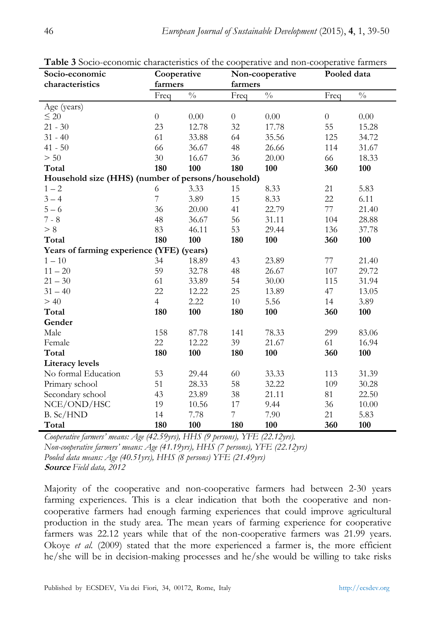| Socio-economic                                     | Cooperative      |               | Non-cooperative  |               | Pooled data      |                 |  |
|----------------------------------------------------|------------------|---------------|------------------|---------------|------------------|-----------------|--|
| characteristics                                    | farmers          | farmers       |                  |               |                  |                 |  |
|                                                    | Freq             | $\frac{0}{0}$ | Freq             | $\frac{0}{0}$ | Freq             | $\sqrt[0]{\!0}$ |  |
| Age (years)                                        |                  |               |                  |               |                  |                 |  |
| $\leq 20$                                          | $\boldsymbol{0}$ | $0.00\,$      | $\boldsymbol{0}$ | 0.00          | $\boldsymbol{0}$ | 0.00            |  |
| $21 - 30$                                          | 23               | 12.78         | 32               | 17.78         | 55               | 15.28           |  |
| $31 - 40$                                          | 61               | 33.88         | 64               | 35.56         | 125              | 34.72           |  |
| $41 - 50$                                          | 66               | 36.67         | 48               | 26.66         | 114              | 31.67           |  |
| > 50                                               | 30               | 16.67         | 36               | 20.00         | 66               | 18.33           |  |
| Total                                              | 180              | 100           | 180              | 100           | 360              | 100             |  |
| Household size (HHS) (number of persons/household) |                  |               |                  |               |                  |                 |  |
| $1 - 2$                                            | 6                | 3.33          | 15               | 8.33          | 21               | 5.83            |  |
| $3 - 4$                                            | $\overline{7}$   | 3.89          | 15               | 8.33          | 22               | 6.11            |  |
| $5 - 6$                                            | 36               | 20.00         | 41               | 22.79         | 77               | 21.40           |  |
| $7 - 8$                                            | 48               | 36.67         | 56               | 31.11         | 104              | 28.88           |  |
| > 8                                                | 83               | 46.11         | 53               | 29.44         | 136              | 37.78           |  |
| Total                                              | 180              | 100           | 180              | 100           | 360              | 100             |  |
| Years of farming experience (YFE) (years)          |                  |               |                  |               |                  |                 |  |
| $1-10\,$                                           | 34               | 18.89         | 43               | 23.89         | 77               | 21.40           |  |
| $11 - 20$                                          | 59               | 32.78         | 48               | 26.67         | 107              | 29.72           |  |
| $21 - 30$                                          | 61               | 33.89         | 54               | 30.00         | 115              | 31.94           |  |
| $31 - 40$                                          | 22               | 12.22         | 25               | 13.89         | 47               | 13.05           |  |
| >40                                                | $\overline{4}$   | 2.22          | 10               | 5.56          | 14               | 3.89            |  |
| Total                                              | 180              | 100           | 180              | 100           | 360              | 100             |  |
| Gender                                             |                  |               |                  |               |                  |                 |  |
| Male                                               | 158              | 87.78         | 141              | 78.33         | 299              | 83.06           |  |
| Female                                             | 22               | 12.22         | 39               | 21.67         | 61               | 16.94           |  |
| Total                                              | 180              | 100           | 180              | 100           | 360              | 100             |  |
| <b>Literacy levels</b>                             |                  |               |                  |               |                  |                 |  |
| No formal Education                                | 53               | 29.44         | 60               | 33.33         | 113              | 31.39           |  |
| Primary school                                     | 51               | 28.33         | 58               | 32.22         | 109              | 30.28           |  |
| Secondary school                                   | 43               | 23.89         | 38               | 21.11         | 81               | 22.50           |  |
| NCE/OND/HSC                                        | 19               | 10.56         | 17               | 9.44          | 36               | 10.00           |  |
| B. Sc/HND                                          | 14               | 7.78          | 7                | 7.90          | 21               | 5.83            |  |
| Total                                              | 180              | 100           | 180              | 100           | 360              | 100             |  |

**Table 3** Socio-economic characteristics of the cooperative and non-cooperative farmers

*Cooperative farmers' means: Age (42.59yrs), HHS (9 persons), YFE (22.12yrs). Non-cooperative farmers' means: Age (41.19yrs), HHS (7 persons), YFE (22.12yrs) Pooled data means: Age (40.51yrs), HHS (8 persons) YFE (21.49yrs)*  **Source** *Field data, 2012* 

Majority of the cooperative and non-cooperative farmers had between 2-30 years farming experiences. This is a clear indication that both the cooperative and noncooperative farmers had enough farming experiences that could improve agricultural production in the study area. The mean years of farming experience for cooperative farmers was 22.12 years while that of the non-cooperative farmers was 21.99 years. Okoye *et al.* (2009) stated that the more experienced a farmer is, the more efficient he/she will be in decision-making processes and he/she would be willing to take risks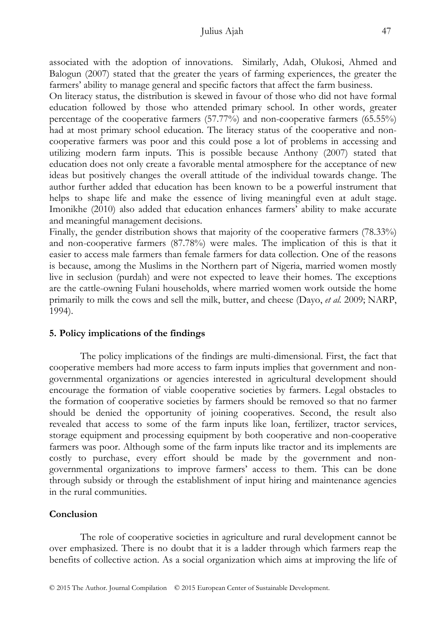#### Julius Ajah 47

associated with the adoption of innovations. Similarly, Adah, Olukosi, Ahmed and Balogun (2007) stated that the greater the years of farming experiences, the greater the farmers' ability to manage general and specific factors that affect the farm business.

On literacy status, the distribution is skewed in favour of those who did not have formal education followed by those who attended primary school. In other words, greater percentage of the cooperative farmers (57.77%) and non-cooperative farmers (65.55%) had at most primary school education. The literacy status of the cooperative and noncooperative farmers was poor and this could pose a lot of problems in accessing and utilizing modern farm inputs. This is possible because Anthony (2007) stated that education does not only create a favorable mental atmosphere for the acceptance of new ideas but positively changes the overall attitude of the individual towards change. The author further added that education has been known to be a powerful instrument that helps to shape life and make the essence of living meaningful even at adult stage. Imonikhe (2010) also added that education enhances farmers' ability to make accurate and meaningful management decisions.

Finally, the gender distribution shows that majority of the cooperative farmers (78.33%) and non-cooperative farmers (87.78%) were males. The implication of this is that it easier to access male farmers than female farmers for data collection. One of the reasons is because, among the Muslims in the Northern part of Nigeria, married women mostly live in seclusion (purdah) and were not expected to leave their homes. The exceptions are the cattle-owning Fulani households, where married women work outside the home primarily to milk the cows and sell the milk, butter, and cheese (Dayo, *et al.* 2009; NARP, 1994).

#### **5. Policy implications of the findings**

The policy implications of the findings are multi-dimensional. First, the fact that cooperative members had more access to farm inputs implies that government and nongovernmental organizations or agencies interested in agricultural development should encourage the formation of viable cooperative societies by farmers. Legal obstacles to the formation of cooperative societies by farmers should be removed so that no farmer should be denied the opportunity of joining cooperatives. Second, the result also revealed that access to some of the farm inputs like loan, fertilizer, tractor services, storage equipment and processing equipment by both cooperative and non-cooperative farmers was poor. Although some of the farm inputs like tractor and its implements are costly to purchase, every effort should be made by the government and nongovernmental organizations to improve farmers' access to them. This can be done through subsidy or through the establishment of input hiring and maintenance agencies in the rural communities.

#### **Conclusion**

The role of cooperative societies in agriculture and rural development cannot be over emphasized. There is no doubt that it is a ladder through which farmers reap the benefits of collective action. As a social organization which aims at improving the life of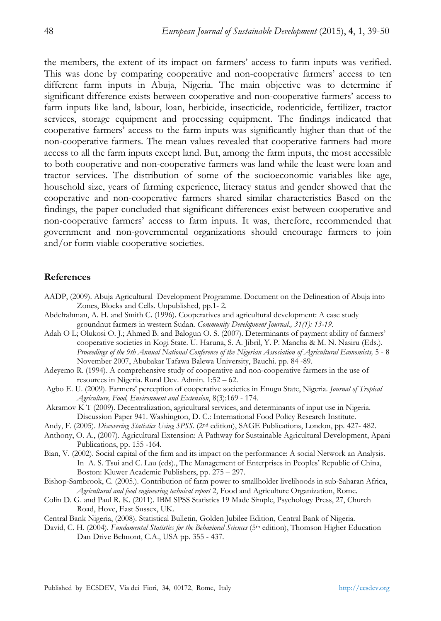the members, the extent of its impact on farmers' access to farm inputs was verified. This was done by comparing cooperative and non-cooperative farmers' access to ten different farm inputs in Abuja, Nigeria. The main objective was to determine if significant difference exists between cooperative and non-cooperative farmers' access to farm inputs like land, labour, loan, herbicide, insecticide, rodenticide, fertilizer, tractor services, storage equipment and processing equipment. The findings indicated that cooperative farmers' access to the farm inputs was significantly higher than that of the non-cooperative farmers. The mean values revealed that cooperative farmers had more access to all the farm inputs except land. But, among the farm inputs, the most accessible to both cooperative and non-cooperative farmers was land while the least were loan and tractor services. The distribution of some of the socioeconomic variables like age, household size, years of farming experience, literacy status and gender showed that the cooperative and non-cooperative farmers shared similar characteristics Based on the findings, the paper concluded that significant differences exist between cooperative and non-cooperative farmers' access to farm inputs. It was, therefore, recommended that government and non-governmental organizations should encourage farmers to join and/or form viable cooperative societies.

#### **References**

- AADP, (2009). Abuja Agricultural Development Programme. Document on the Delineation of Abuja into Zones, Blocks and Cells. Unpublished, pp.1- 2.
- Abdelrahman, A. H. and Smith C. (1996). Cooperatives and agricultural development: A case study groundnut farmers in western Sudan. *Community Development Journal., 31(1): 13-19.*
- Adah O L; Olukosi O. J.; Ahmed B. and Balogun O. S. (2007). Determinants of payment ability of farmers' cooperative societies in Kogi State. U. Haruna, S. A. Jibril, Y. P. Mancha & M. N. Nasiru (Eds.). *Proceedings of the 9th Annual National Conference of the Nigerian Association of Agricultural Economists,* 5 - 8 November 2007, Abubakar Tafawa Balewa University, Bauchi. pp. 84 -89.
- Adeyemo R. (1994). A comprehensive study of cooperative and non-cooperative farmers in the use of resources in Nigeria. Rural Dev. Admin. 1:52 – 62.
- Agbo E. U. (2009). Farmers' perception of cooperative societies in Enugu State, Nigeria. *Journal of Tropical Agriculture, Food, Environment and Extension*, 8(3):169 - 174.
- Akramov K T (2009). Decentralization, agricultural services, and determinants of input use in Nigeria. Discussion Paper 941. Washington, D. C.: International Food Policy Research Institute.
- Andy, F. (2005). *Discovering Statistics Using SPSS*. (2nd edition), SAGE Publications, London, pp. 427- 482.
- Anthony, O. A., (2007). Agricultural Extension: A Pathway for Sustainable Agricultural Development, Apani Publications, pp. 155 -164.
- Bian, V. (2002). Social capital of the firm and its impact on the performance: A social Network an Analysis. In A. S. Tsui and C. Lau (eds)., The Management of Enterprises in Peoples' Republic of China, Boston: Kluwer Academic Publishers, pp. 275 – 297.
- Bishop-Sambrook, C. (2005.). Contribution of farm power to smallholder livelihoods in sub-Saharan Africa, *Agricultural and food engineering technical report* 2, Food and Agriculture Organization, Rome.
- Colin D. G. and Paul R. K. (2011). IBM SPSS Statistics 19 Made Simple, Psychology Press, 27, Church Road, Hove, East Sussex, UK.
- Central Bank Nigeria, (2008). Statistical Bulletin, Golden Jubilee Edition, Central Bank of Nigeria.
- David, C. H. (2004). *Fundamental Statistics for the Behavioral Sciences* (5<sup>th</sup> edition), Thomson Higher Education Dan Drive Belmont, C.A., USA pp. 355 - 437.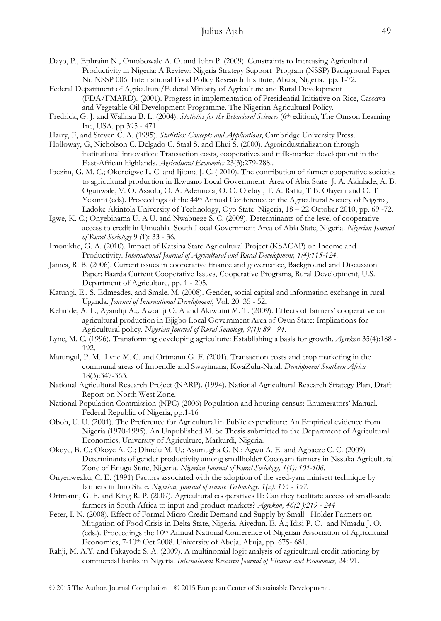- Dayo, P., Ephraim N., Omobowale A. O. and John P. (2009). Constraints to Increasing Agricultural Productivity in Nigeria: A Review: Nigeria Strategy Support Program (NSSP) Background Paper No NSSP 006. International Food Policy Research Institute, Abuja, Nigeria. pp. 1-72.
- Federal Department of Agriculture/Federal Ministry of Agriculture and Rural Development (FDA/FMARD). (2001). Progress in implementation of Presidential Initiative on Rice, Cassava and Vegetable Oil Development Programme. The Nigerian Agricultural Policy.
- Fredrick, G. J. and Wallnau B. L. (2004). *Statistics for the Behavioral Sciences* (6th edition), The Omson Learning Inc, USA. pp 395 - 471.
- Harry, F, and Steven C. A. (1995). *Statistics: Concepts and Applications*, Cambridge University Press.
- Holloway, G, Nicholson C. Delgado C. Staal S. and Ehui S. (2000). Agroindustrialization through institutional innovation: Transaction costs, cooperatives and milk-market development in the East-African highlands. *Agricultural Economics* 23(3):279-288..
- Ibezim, G. M. C.; Okoroigwe L. C. and Ijioma J. C. ( 2010). The contribution of farmer cooperative societies to agricultural production in Ikwuano Local Government Area of Abia State J. A. Akinlade, A. B. Ogunwale, V. O. Asaolu, O. A. Aderinola, O. O. Ojebiyi, T. A. Rafiu, T B. Olayeni and O. T Yekinni (eds). Proceedings of the 44th Annual Conference of the Agricultural Society of Nigeria, Ladoke Akintola University of Technology, Oyo State Nigeria, 18 – 22 October 2010, pp. 69 -72.
- Igwe, K. C.; Onyebinama U. A U. and Nwabueze S. C. (2009). Determinants of the level of cooperative access to credit in Umuahia South Local Government Area of Abia State, Nigeria. *Nigerian Journal of Rural Sociology* 9 (1): 33 - 36.
- Imonikhe, G. A. (2010). Impact of Katsina State Agricultural Project (KSACAP) on Income and Productivity. *International Journal of Agricultural and Rural Development, 1(4):115-124*.
- James, R. B. (2006). Current issues in cooperative finance and governance, Background and Discussion Paper: Baarda Current Cooperative Issues, Cooperative Programs, Rural Development, U.S. Department of Agriculture, pp. 1 - 205.
- Katungi, E., S. Edmeades, and Smale. M. (2008). Gender, social capital and information exchange in rural Uganda. *Journal of International Development*, Vol. 20: 35 - 52.
- Kehinde, A. L.; Ayandiji A.;. Awoniji O. A and Akiwumi M. T. (2009). Effects of farmers' cooperative on agricultural production in Ejigbo Local Government Area of Osun State: Implications for Agricultural policy. *Nigerian Journal of Rural Sociology, 9(1): 89 - 94.*
- Lyne, M. C. (1996). Transforming developing agriculture: Establishing a basis for growth. *Agrekon* 35(4):188 192.
- Matungul, P. M. Lyne M. C. and Ortmann G. F. (2001). Transaction costs and crop marketing in the communal areas of Impendle and Swayimana, KwaZulu-Natal. *Development Southern Africa*  18(3):347-363.
- National Agricultural Research Project (NARP). (1994). National Agricultural Research Strategy Plan, Draft Report on North West Zone.
- National Population Commission (NPC) (2006) Population and housing census: Enumerators' Manual. Federal Republic of Nigeria, pp.1-16
- Oboh, U. U. (2001). The Preference for Agricultural in Public expenditure: An Empirical evidence from Nigeria (1970-1995). An Unpublished M. Sc Thesis submitted to the Department of Agricultural Economics, University of Agriculture, Markurdi, Nigeria.
- Okoye, B. C.; Okoye A. C.; Dimelu M. U.; Asumugha G. N.; Agwu A. E. and Agbaeze C. C. (2009) Determinants of gender productivity among smallholder Cocoyam farmers in Nssuka Agricultural Zone of Enugu State, Nigeria. *Nigerian Journal of Rural Sociology, 1(1): 101-106.*
- Onyenweaku, C. E. (1991) Factors associated with the adoption of the seed-yam minisett technique by farmers in Imo State. *Nigerian, Journal of science Technology. 1(2): 155 - 157.*
- Ortmann, G. F. and King R. P. (2007). Agricultural cooperatives II: Can they facilitate access of small-scale farmers in South Africa to input and product markets? *Agrekon, 46(2 ):219 - 244*
- Peter, I. N. (2008). Effect of Formal Micro Credit Demand and Supply by Small –Holder Farmers on Mitigation of Food Crisis in Delta State, Nigeria. Aiyedun, E. A.; Idisi P. O. and Nmadu J. O. (eds.). Proceedings the 10<sup>th</sup> Annual National Conference of Nigerian Association of Agricultural Economics, 7-10th Oct 2008. University of Abuja, Abuja, pp. 675- 681.
- Rahji, M. A.Y. and Fakayode S. A. (2009). A multinomial logit analysis of agricultural credit rationing by commercial banks in Nigeria. *International Research Journal of Finance and Economics*, 24: 91.